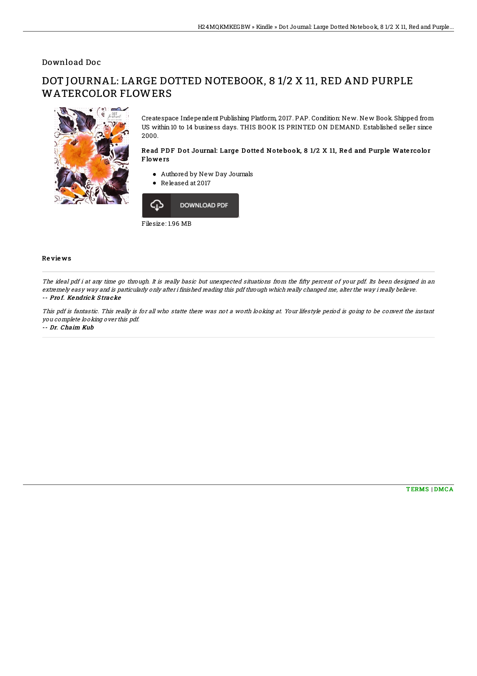## Download Doc

## DOT JOURNAL: LARGE DOTTED NOTEBOOK, 8 1/2 X 11, RED AND PURPLE WATERCOLOR FLOWERS



Createspace Independent Publishing Platform, 2017. PAP. Condition: New. New Book. Shipped from US within 10 to 14 business days. THIS BOOK IS PRINTED ON DEMAND. Established seller since 2000.

## Read PDF Dot Journal: Large Dotted Notebook, 8 1/2 X 11, Red and Purple Watercolor **Flowers**

- Authored by New Day Journals
- Released at 2017



Re vie ws

The ideal pdf i at any time go through. It is really basic but unexpected situations from the fifty percent of your pdf. Its been designed in an extremely easy way and is particularly only after i finished reading this pdf through which really changed me, alter the way i really believe. -- Pro f. Kendrick S tracke

This pdf is fantastic. This really is for all who statte there was not <sup>a</sup> worth looking at. Your lifestyle period is going to be convert the instant you complete looking over this pdf.

-- Dr. Chaim Kub